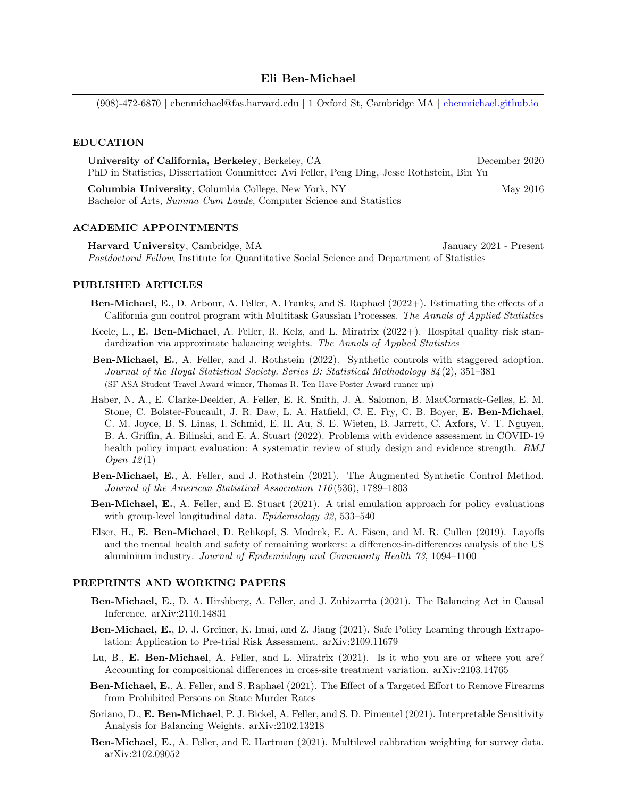(908)-472-6870 | ebenmichael@fas.harvard.edu | 1 Oxford St, Cambridge MA | <ebenmichael.github.io>

## EDUCATION

University of California, Berkeley, Berkeley, CA December 2020 PhD in Statistics, Dissertation Committee: Avi Feller, Peng Ding, Jesse Rothstein, Bin Yu Columbia University, Columbia College, New York, NY May 2016 Bachelor of Arts, Summa Cum Laude, Computer Science and Statistics

## ACADEMIC APPOINTMENTS

Harvard University, Cambridge, MA January 2021 - Present Postdoctoral Fellow, Institute for Quantitative Social Science and Department of Statistics

### PUBLISHED ARTICLES

- Ben-Michael, E., D. Arbour, A. Feller, A. Franks, and S. Raphael (2022+). Estimating the effects of a California gun control program with Multitask Gaussian Processes. The Annals of Applied Statistics
- Keele, L., E. Ben-Michael, A. Feller, R. Kelz, and L. Miratrix (2022+). Hospital quality risk standardization via approximate balancing weights. The Annals of Applied Statistics
- Ben-Michael, E., A. Feller, and J. Rothstein (2022). Synthetic controls with staggered adoption. Journal of the Royal Statistical Society. Series B: Statistical Methodology 84 (2), 351–381 (SF ASA Student Travel Award winner, Thomas R. Ten Have Poster Award runner up)
- Haber, N. A., E. Clarke-Deelder, A. Feller, E. R. Smith, J. A. Salomon, B. MacCormack-Gelles, E. M. Stone, C. Bolster-Foucault, J. R. Daw, L. A. Hatfield, C. E. Fry, C. B. Boyer, E. Ben-Michael, C. M. Joyce, B. S. Linas, I. Schmid, E. H. Au, S. E. Wieten, B. Jarrett, C. Axfors, V. T. Nguyen, B. A. Griffin, A. Bilinski, and E. A. Stuart (2022). Problems with evidence assessment in COVID-19 health policy impact evaluation: A systematic review of study design and evidence strength. BMJ Open  $12(1)$
- Ben-Michael, E., A. Feller, and J. Rothstein (2021). The Augmented Synthetic Control Method. Journal of the American Statistical Association 116 (536), 1789–1803
- Ben-Michael, E., A. Feller, and E. Stuart (2021). A trial emulation approach for policy evaluations with group-level longitudinal data. Epidemiology 32, 533-540
- Elser, H., E. Ben-Michael, D. Rehkopf, S. Modrek, E. A. Eisen, and M. R. Cullen (2019). Layoffs and the mental health and safety of remaining workers: a difference-in-differences analysis of the US aluminium industry. Journal of Epidemiology and Community Health 73, 1094–1100

# PREPRINTS AND WORKING PAPERS

- Ben-Michael, E., D. A. Hirshberg, A. Feller, and J. Zubizarrta (2021). The Balancing Act in Causal Inference. arXiv:2110.14831
- Ben-Michael, E., D. J. Greiner, K. Imai, and Z. Jiang (2021). Safe Policy Learning through Extrapolation: Application to Pre-trial Risk Assessment. arXiv:2109.11679
- Lu, B., E. Ben-Michael, A. Feller, and L. Miratrix (2021). Is it who you are or where you are? Accounting for compositional differences in cross-site treatment variation. arXiv:2103.14765
- Ben-Michael, E., A. Feller, and S. Raphael (2021). The Effect of a Targeted Effort to Remove Firearms from Prohibited Persons on State Murder Rates
- Soriano, D., E. Ben-Michael, P. J. Bickel, A. Feller, and S. D. Pimentel (2021). Interpretable Sensitivity Analysis for Balancing Weights. arXiv:2102.13218
- Ben-Michael, E., A. Feller, and E. Hartman (2021). Multilevel calibration weighting for survey data. arXiv:2102.09052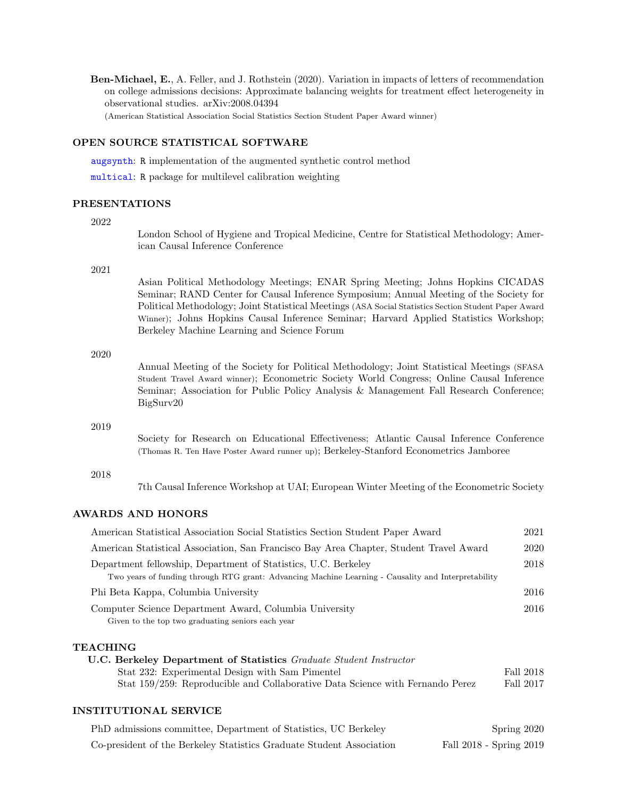Ben-Michael, E., A. Feller, and J. Rothstein (2020). Variation in impacts of letters of recommendation on college admissions decisions: Approximate balancing weights for treatment effect heterogeneity in observational studies. arXiv:2008.04394 (American Statistical Association Social Statistics Section Student Paper Award winner)

## OPEN SOURCE STATISTICAL SOFTWARE

[augsynth](https://github.com/ebenmichael/augsynth): R implementation of the augmented synthetic control method

[multical](https://github.com/ebenmichael/multical): R package for multilevel calibration weighting

## PRESENTATIONS

### 2022

London School of Hygiene and Tropical Medicine, Centre for Statistical Methodology; American Causal Inference Conference

#### 2021

Asian Political Methodology Meetings; ENAR Spring Meeting; Johns Hopkins CICADAS Seminar; RAND Center for Causal Inference Symposium; Annual Meeting of the Society for Political Methodology; Joint Statistical Meetings (ASA Social Statistics Section Student Paper Award Winner); Johns Hopkins Causal Inference Seminar; Harvard Applied Statistics Workshop; Berkeley Machine Learning and Science Forum

### 2020

Annual Meeting of the Society for Political Methodology; Joint Statistical Meetings (SFASA Student Travel Award winner); Econometric Society World Congress; Online Causal Inference Seminar; Association for Public Policy Analysis & Management Fall Research Conference; BigSurv20

## 2019

Society for Research on Educational Effectiveness; Atlantic Causal Inference Conference (Thomas R. Ten Have Poster Award runner up); Berkeley-Stanford Econometrics Jamboree

#### 2018

7th Causal Inference Workshop at UAI; European Winter Meeting of the Econometric Society

# AWARDS AND HONORS

| American Statistical Association Social Statistics Section Student Paper Award                                                                                        | 2021      |
|-----------------------------------------------------------------------------------------------------------------------------------------------------------------------|-----------|
| American Statistical Association, San Francisco Bay Area Chapter, Student Travel Award                                                                                | 2020      |
| Department fellowship, Department of Statistics, U.C. Berkeley<br>Two years of funding through RTG grant: Advancing Machine Learning - Causality and Interpretability | 2018      |
| Phi Beta Kappa, Columbia University                                                                                                                                   | 2016      |
| Computer Science Department Award, Columbia University<br>Given to the top two graduating seniors each year                                                           | 2016      |
| <b>TEACHING</b>                                                                                                                                                       |           |
| <b>U.C. Berkeley Department of Statistics</b> Graduate Student Instructor                                                                                             |           |
| Stat 232: Experimental Design with Sam Pimentel                                                                                                                       | Fall 2018 |
| Stat 159/259: Reproducible and Collaborative Data Science with Fernando Perez                                                                                         | Fall 2017 |

## INSTITUTIONAL SERVICE

| PhD admissions committee, Department of Statistics, UC Berkeley      | Spring 2020             |
|----------------------------------------------------------------------|-------------------------|
| Co-president of the Berkeley Statistics Graduate Student Association | Fall 2018 - Spring 2019 |